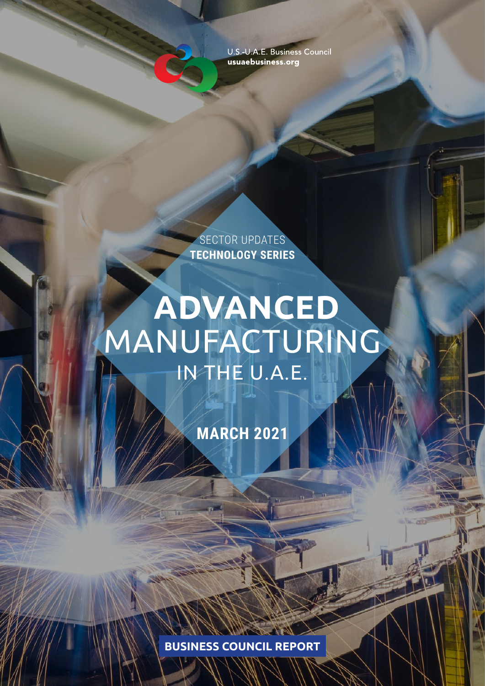U.S.-U.A.E. Business Council usuaebusiness.org

SECTOR UPDATES **TECHNOLOGY SERIES**

# **ADVANCED** MANUFACTURING IN THE U.A.E.

**MARCH 2021**

**BUSINESS COUNCIL REPORT**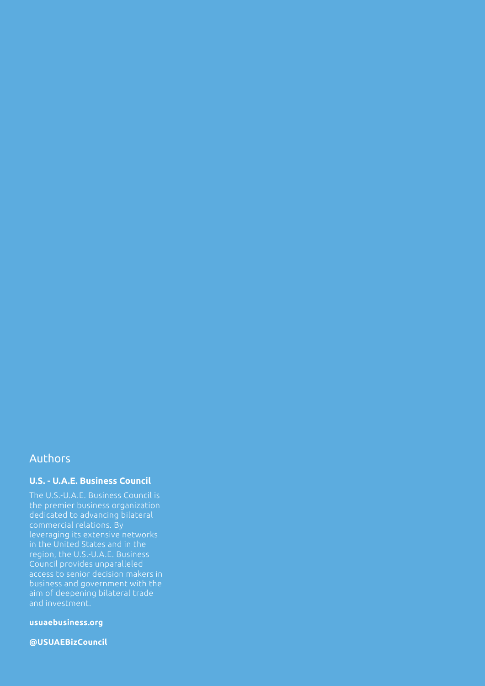## Authors

## **U.S. - U.A.E. Business Council**

The U.S.-U.A.E. Business Council is the premier business organization dedicated to advancing bilateral commercial relations. By leveraging its extensive networks in the United States and in the region, the U.S.-U.A.E. Business Council provides unparalleled access to senior decision makers in business and government with the aim of deepening bilateral trade and investment.

**usuaebusiness.org**

**@USUAEBizCouncil**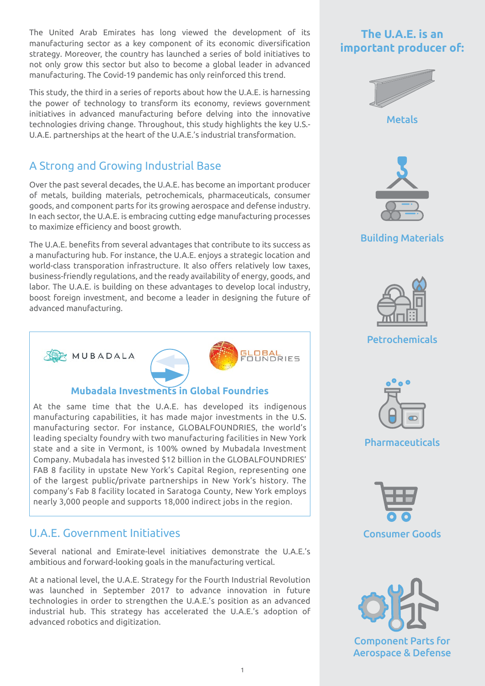The United Arab Emirates has long viewed the development of its manufacturing sector as a key component of its economic diversification strategy. Moreover, the country has launched a series of bold initiatives to not only grow this sector but also to become a global leader in advanced manufacturing. The Covid-19 pandemic has only reinforced this trend.

This study, the third in a series of reports about how the U.A.E. is harnessing the power of technology to transform its economy, reviews government initiatives in advanced manufacturing before delving into the innovative technologies driving change. Throughout, this study highlights the key U.S.- U.A.E. partnerships at the heart of the U.A.E.'s industrial transformation.

# A Strong and Growing Industrial Base

Over the past several decades, the U.A.E. has become an important producer of metals, building materials, petrochemicals, pharmaceuticals, consumer goods, and component parts for its growing aerospace and defense industry. In each sector, the U.A.E. is embracing cutting edge manufacturing processes to maximize efficiency and boost growth.

The U.A.E. benefits from several advantages that contribute to its success as a manufacturing hub. For instance, the U.A.E. enjoys a strategic location and world-class transporation infrastructure. It also offers relatively low taxes, business-friendly regulations, and the ready availability of energy, goods, and labor. The U.A.E. is building on these advantages to develop local industry, boost foreign investment, and become a leader in designing the future of advanced manufacturing.





#### **Mubadala Investments in Global Foundries**

At the same time that the U.A.E. has developed its indigenous manufacturing capabilities, it has made major investments in the U.S. manufacturing sector. For instance, GLOBALFOUNDRIES, the world's leading specialty foundry with two manufacturing facilities in New York state and a site in Vermont, is 100% owned by Mubadala Investment Company. Mubadala has invested \$12 billion in the GLOBALFOUNDRIES' FAB 8 facility in upstate New York's Capital Region, representing one of the largest public/private partnerships in New York's history. The company's Fab 8 facility located in Saratoga County, New York employs nearly 3,000 people and supports 18,000 indirect jobs in the region.

## U.A.E. Government Initiatives

Several national and Emirate-level initiatives demonstrate the U.A.E.'s ambitious and forward-looking goals in the manufacturing vertical.

At a national level, the U.A.E. Strategy for the Fourth Industrial Revolution was launched in September 2017 to advance innovation in future technologies in order to strengthen the U.A.E.'s position as an advanced industrial hub. This strategy has accelerated the U.A.E.'s adoption of advanced robotics and digitization.

# **The U.A.E. is an important producer of:**



**Metals** 



## Building Materials



Petrochemicals









Aerospace & Defense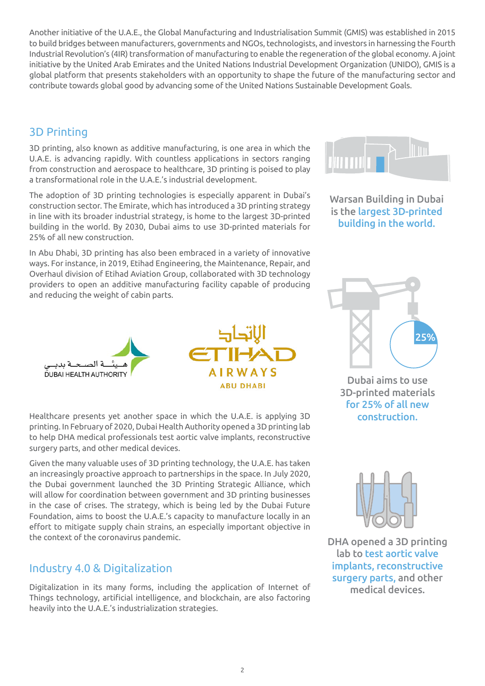Another initiative of the U.A.E., the Global Manufacturing and Industrialisation Summit (GMIS) was established in 2015 to build bridges between manufacturers, governments and NGOs, technologists, and investors in harnessing the Fourth Industrial Revolution's (4IR) transformation of manufacturing to enable the regeneration of the global economy. A joint initiative by the United Arab Emirates and the United Nations Industrial Development Organization (UNIDO), GMIS is a global platform that presents stakeholders with an opportunity to shape the future of the manufacturing sector and contribute towards global good by advancing some of the United Nations Sustainable Development Goals.

# 3D Printing

3D printing, also known as additive manufacturing, is one area in which the U.A.E. is advancing rapidly. With countless applications in sectors ranging from construction and aerospace to healthcare, 3D printing is poised to play a transformational role in the U.A.E.'s industrial development.

The adoption of 3D printing technologies is especially apparent in Dubai's construction sector. The Emirate, which has introduced a 3D printing strategy in line with its broader industrial strategy, is home to the largest 3D-printed building in the world. By 2030, Dubai aims to use 3D-printed materials for 25% of all new construction.

In Abu Dhabi, 3D printing has also been embraced in a variety of innovative ways. For instance, in 2019, Etihad Engineering, the Maintenance, Repair, and Overhaul division of Etihad Aviation Group, collaborated with 3D technology providers to open an additive manufacturing facility capable of producing and reducing the weight of cabin parts.



Healthcare presents yet another space in which the U.A.E. is applying 3D printing. In February of 2020, Dubai Health Authority opened a 3D printing lab to help DHA medical professionals test aortic valve implants, reconstructive surgery parts, and other medical devices.

Given the many valuable uses of 3D printing technology, the U.A.E. has taken an increasingly proactive approach to partnerships in the space. In July 2020, the Dubai government launched the 3D Printing Strategic Alliance, which will allow for coordination between government and 3D printing businesses in the case of crises. The strategy, which is being led by the Dubai Future Foundation, aims to boost the U.A.E.'s capacity to manufacture locally in an effort to mitigate supply chain strains, an especially important objective in the context of the coronavirus pandemic.

## Industry 4.0 & Digitalization

Digitalization in its many forms, including the application of Internet of Things technology, artificial intelligence, and blockchain, are also factoring heavily into the U.A.E.'s industrialization strategies.



Warsan Building in Dubai is the largest 3D-printed building in the world.



Dubai aims to use 3D-printed materials for 25% of all new construction.



DHA opened a 3D printing lab to test aortic valve implants, reconstructive surgery parts, and other medical devices.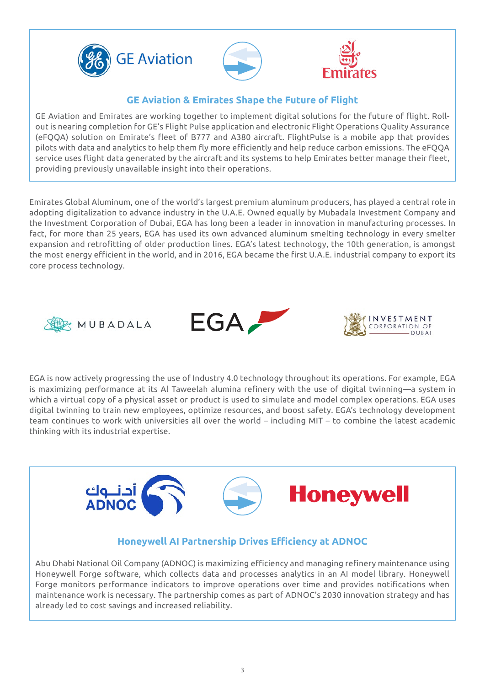





## **GE Aviation & Emirates Shape the Future of Flight**

GE Aviation and Emirates are working together to implement digital solutions for the future of flight. Rollout is nearing completion for GE's Flight Pulse application and electronic Flight Operations Quality Assurance (eFQQA) solution on Emirate's fleet of B777 and A380 aircraft. FlightPulse is a mobile app that provides pilots with data and analytics to help them fly more efficiently and help reduce carbon emissions. The eFQQA service uses flight data generated by the aircraft and its systems to help Emirates better manage their fleet, providing previously unavailable insight into their operations.

Emirates Global Aluminum, one of the world's largest premium aluminum producers, has played a central role in adopting digitalization to advance industry in the U.A.E. Owned equally by Mubadala Investment Company and the Investment Corporation of Dubai, EGA has long been a leader in innovation in manufacturing processes. In fact, for more than 25 years, EGA has used its own advanced aluminum smelting technology in every smelter expansion and retrofitting of older production lines. EGA's latest technology, the 10th generation, is amongst the most energy efficient in the world, and in 2016, EGA became the first U.A.E. industrial company to export its core process technology.







EGA is now actively progressing the use of Industry 4.0 technology throughout its operations. For example, EGA is maximizing performance at its Al Taweelah alumina refinery with the use of digital twinning—a system in which a virtual copy of a physical asset or product is used to simulate and model complex operations. EGA uses digital twinning to train new employees, optimize resources, and boost safety. EGA's technology development team continues to work with universities all over the world – including MIT – to combine the latest academic thinking with its industrial expertise.



## **Honeywell AI Partnership Drives Efficiency at ADNOC**

Abu Dhabi National Oil Company (ADNOC) is maximizing efficiency and managing refinery maintenance using Honeywell Forge software, which collects data and processes analytics in an AI model library. Honeywell Forge monitors performance indicators to improve operations over time and provides notifications when maintenance work is necessary. The partnership comes as part of ADNOC's 2030 innovation strategy and has already led to cost savings and increased reliability.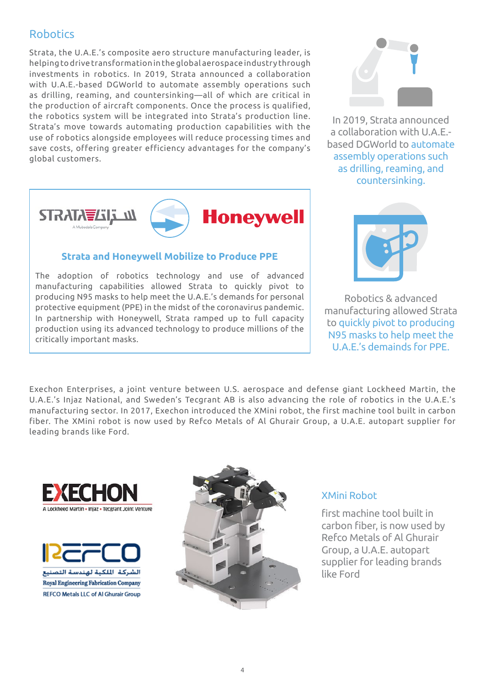## Robotics

Strata, the U.A.E.'s composite aero structure manufacturing leader, is helping to drive transformation in the global aerospace industry through investments in robotics. In 2019, Strata announced a collaboration with U.A.E.-based DGWorld to automate assembly operations such as drilling, reaming, and countersinking—all of which are critical in the production of aircraft components. Once the process is qualified, the robotics system will be integrated into Strata's production line. Strata's move towards automating production capabilities with the use of robotics alongside employees will reduce processing times and save costs, offering greater efficiency advantages for the company's global customers.



#### **Strata and Honeywell Mobilize to Produce PPE**

The adoption of robotics technology and use of advanced manufacturing capabilities allowed Strata to quickly pivot to producing N95 masks to help meet the U.A.E.'s demands for personal protective equipment (PPE) in the midst of the coronavirus pandemic. In partnership with Honeywell, Strata ramped up to full capacity production using its advanced technology to produce millions of the critically important masks.



In 2019, Strata announced a collaboration with U.A.E. based DGWorld to automate assembly operations such as drilling, reaming, and countersinking.



Robotics & advanced manufacturing allowed Strata to quickly pivot to producing N95 masks to help meet the U.A.E.'s demainds for PPE.

Exechon Enterprises, a joint venture between U.S. aerospace and defense giant Lockheed Martin, the U.A.E.'s Injaz National, and Sweden's Tecgrant AB is also advancing the role of robotics in the U.A.E.'s manufacturing sector. In 2017, Exechon introduced the XMini robot, the first machine tool built in carbon fiber. The XMini robot is now used by Refco Metals of Al Ghurair Group, a U.A.E. autopart supplier for leading brands like Ford.







### XMini Robot

first machine tool built in carbon fiber, is now used by Refco Metals of Al Ghurair Group, a U.A.E. autopart supplier for leading brands like Ford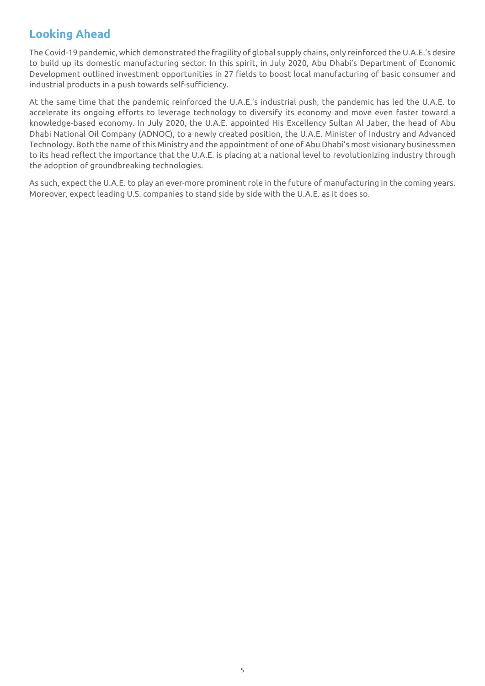# **Looking Ahead**

The Covid-19 pandemic, which demonstrated the fragility of global supply chains, only reinforced the U.A.E.'s desire to build up its domestic manufacturing sector. In this spirit, in July 2020, Abu Dhabi's Department of Economic Development outlined investment opportunities in 27 fields to boost local manufacturing of basic consumer and industrial products in a push towards self-sufficiency.

At the same time that the pandemic reinforced the U.A.E.'s industrial push, the pandemic has led the U.A.E. to accelerate its ongoing efforts to leverage technology to diversify its economy and move even faster toward a knowledge-based economy. In July 2020, the U.A.E. appointed His Excellency Sultan Al Jaber, the head of Abu Dhabi National Oil Company (ADNOC), to a newly created position, the U.A.E. Minister of Industry and Advanced Technology. Both the name of this Ministry and the appointment of one of Abu Dhabi's most visionary businessmen to its head reflect the importance that the U.A.E. is placing at a national level to revolutionizing industry through the adoption of groundbreaking technologies.

As such, expect the U.A.E. to play an ever-more prominent role in the future of manufacturing in the coming years. Moreover, expect leading U.S. companies to stand side by side with the U.A.E. as it does so.